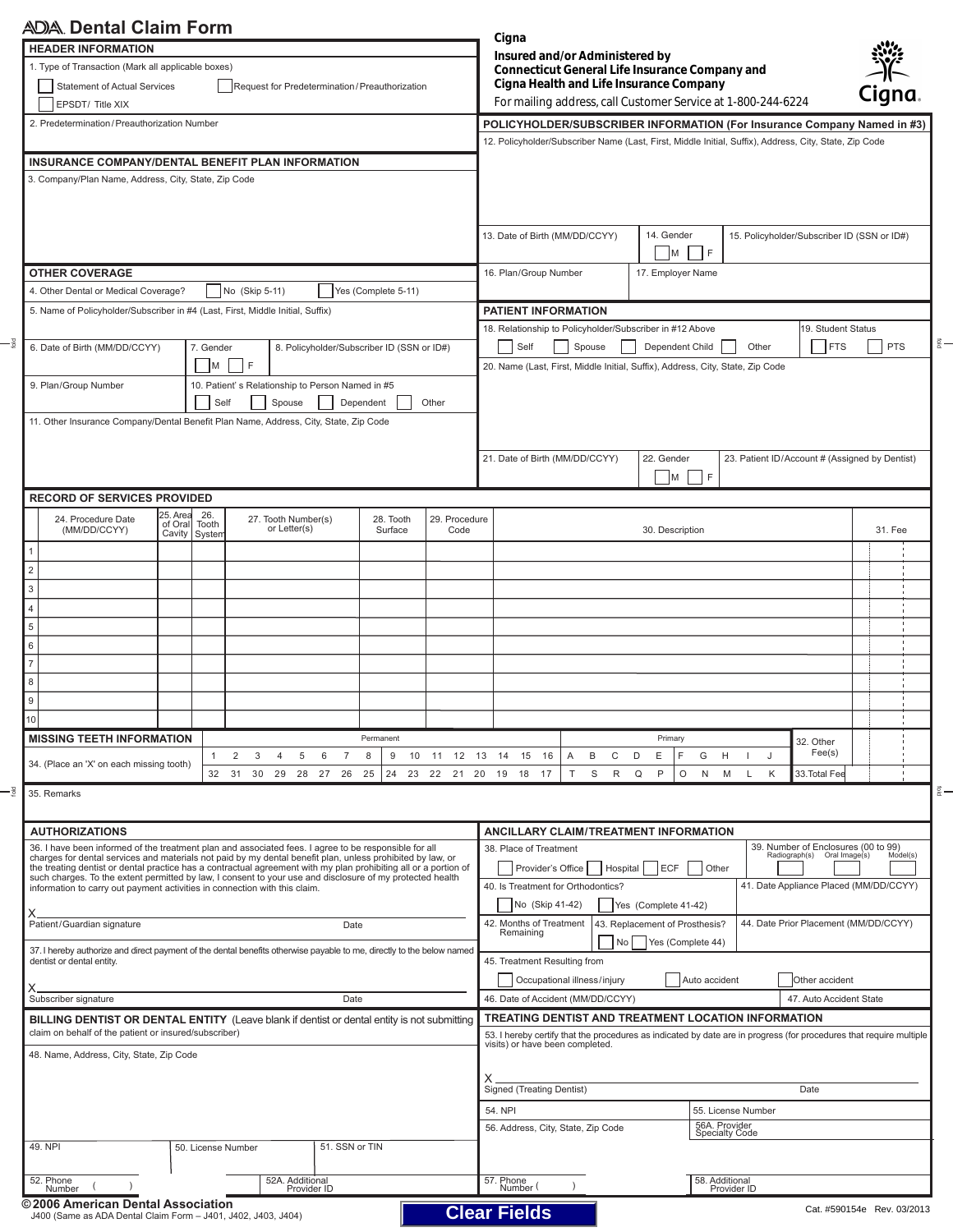|                                                                                                                                                                                                                                                                                                                                                                                                                                                                                                                                                                                                                                                                                                                                                                                                                                                                                                                                                                                                              | <b>ADA. Dental Claim Form</b><br><b>HEADER INFORMATION</b> |                                                         |                     |                                                  |                |                       |                                                                                           |                                                                                                                                                                                   | Cigna                                                    |                                |                                                                                                                     |                                                                    |  |            |
|--------------------------------------------------------------------------------------------------------------------------------------------------------------------------------------------------------------------------------------------------------------------------------------------------------------------------------------------------------------------------------------------------------------------------------------------------------------------------------------------------------------------------------------------------------------------------------------------------------------------------------------------------------------------------------------------------------------------------------------------------------------------------------------------------------------------------------------------------------------------------------------------------------------------------------------------------------------------------------------------------------------|------------------------------------------------------------|---------------------------------------------------------|---------------------|--------------------------------------------------|----------------|-----------------------|-------------------------------------------------------------------------------------------|-----------------------------------------------------------------------------------------------------------------------------------------------------------------------------------|----------------------------------------------------------|--------------------------------|---------------------------------------------------------------------------------------------------------------------|--------------------------------------------------------------------|--|------------|
|                                                                                                                                                                                                                                                                                                                                                                                                                                                                                                                                                                                                                                                                                                                                                                                                                                                                                                                                                                                                              |                                                            |                                                         |                     |                                                  |                |                       | Insured and/or Administered by                                                            |                                                                                                                                                                                   |                                                          |                                |                                                                                                                     |                                                                    |  |            |
| 1. Type of Transaction (Mark all applicable boxes)                                                                                                                                                                                                                                                                                                                                                                                                                                                                                                                                                                                                                                                                                                                                                                                                                                                                                                                                                           |                                                            |                                                         |                     |                                                  |                |                       | Connecticut General Life Insurance Company and<br>Cigna Health and Life Insurance Company |                                                                                                                                                                                   |                                                          |                                |                                                                                                                     |                                                                    |  |            |
| Statement of Actual Services<br>Request for Predetermination/Preauthorization                                                                                                                                                                                                                                                                                                                                                                                                                                                                                                                                                                                                                                                                                                                                                                                                                                                                                                                                |                                                            |                                                         |                     |                                                  |                |                       |                                                                                           |                                                                                                                                                                                   |                                                          |                                |                                                                                                                     | Cigna                                                              |  |            |
| EPSDT/ Title XIX                                                                                                                                                                                                                                                                                                                                                                                                                                                                                                                                                                                                                                                                                                                                                                                                                                                                                                                                                                                             |                                                            |                                                         |                     |                                                  |                |                       |                                                                                           | For mailing address, call Customer Service at 1-800-244-6224                                                                                                                      |                                                          |                                |                                                                                                                     |                                                                    |  |            |
| 2. Predetermination/Preauthorization Number                                                                                                                                                                                                                                                                                                                                                                                                                                                                                                                                                                                                                                                                                                                                                                                                                                                                                                                                                                  |                                                            |                                                         |                     |                                                  |                |                       |                                                                                           | POLICYHOLDER/SUBSCRIBER INFORMATION (For Insurance Company Named in #3)<br>12. Policyholder/Subscriber Name (Last, First, Middle Initial, Suffix), Address, City, State, Zip Code |                                                          |                                |                                                                                                                     |                                                                    |  |            |
|                                                                                                                                                                                                                                                                                                                                                                                                                                                                                                                                                                                                                                                                                                                                                                                                                                                                                                                                                                                                              |                                                            |                                                         |                     |                                                  |                |                       |                                                                                           |                                                                                                                                                                                   |                                                          |                                |                                                                                                                     |                                                                    |  |            |
| <b>INSURANCE COMPANY/DENTAL BENEFIT PLAN INFORMATION</b><br>3. Company/Plan Name, Address, City, State, Zip Code                                                                                                                                                                                                                                                                                                                                                                                                                                                                                                                                                                                                                                                                                                                                                                                                                                                                                             |                                                            |                                                         |                     |                                                  |                |                       |                                                                                           |                                                                                                                                                                                   |                                                          |                                |                                                                                                                     |                                                                    |  |            |
|                                                                                                                                                                                                                                                                                                                                                                                                                                                                                                                                                                                                                                                                                                                                                                                                                                                                                                                                                                                                              |                                                            |                                                         |                     |                                                  |                |                       |                                                                                           |                                                                                                                                                                                   |                                                          |                                |                                                                                                                     |                                                                    |  |            |
|                                                                                                                                                                                                                                                                                                                                                                                                                                                                                                                                                                                                                                                                                                                                                                                                                                                                                                                                                                                                              |                                                            |                                                         |                     |                                                  |                |                       |                                                                                           |                                                                                                                                                                                   |                                                          |                                |                                                                                                                     |                                                                    |  |            |
|                                                                                                                                                                                                                                                                                                                                                                                                                                                                                                                                                                                                                                                                                                                                                                                                                                                                                                                                                                                                              |                                                            |                                                         |                     |                                                  |                |                       |                                                                                           | 13. Date of Birth (MM/DD/CCYY)                                                                                                                                                    |                                                          | 14. Gender                     |                                                                                                                     | 15. Policyholder/Subscriber ID (SSN or ID#)                        |  |            |
|                                                                                                                                                                                                                                                                                                                                                                                                                                                                                                                                                                                                                                                                                                                                                                                                                                                                                                                                                                                                              |                                                            |                                                         |                     |                                                  |                |                       |                                                                                           |                                                                                                                                                                                   |                                                          | l F<br> M                      |                                                                                                                     |                                                                    |  |            |
| <b>OTHER COVERAGE</b>                                                                                                                                                                                                                                                                                                                                                                                                                                                                                                                                                                                                                                                                                                                                                                                                                                                                                                                                                                                        |                                                            |                                                         |                     |                                                  |                | 16. Plan/Group Number |                                                                                           | 17. Employer Name                                                                                                                                                                 |                                                          |                                |                                                                                                                     |                                                                    |  |            |
| 4. Other Dental or Medical Coverage?                                                                                                                                                                                                                                                                                                                                                                                                                                                                                                                                                                                                                                                                                                                                                                                                                                                                                                                                                                         |                                                            |                                                         | No (Skip 5-11)      |                                                  |                | Yes (Complete 5-11)   |                                                                                           |                                                                                                                                                                                   |                                                          |                                |                                                                                                                     |                                                                    |  |            |
| 5. Name of Policyholder/Subscriber in #4 (Last, First, Middle Initial, Suffix)                                                                                                                                                                                                                                                                                                                                                                                                                                                                                                                                                                                                                                                                                                                                                                                                                                                                                                                               |                                                            |                                                         |                     |                                                  |                |                       |                                                                                           | <b>PATIENT INFORMATION</b>                                                                                                                                                        |                                                          |                                |                                                                                                                     |                                                                    |  |            |
|                                                                                                                                                                                                                                                                                                                                                                                                                                                                                                                                                                                                                                                                                                                                                                                                                                                                                                                                                                                                              |                                                            |                                                         |                     |                                                  |                |                       |                                                                                           |                                                                                                                                                                                   | 18. Relationship to Policyholder/Subscriber in #12 Above |                                |                                                                                                                     | 19. Student Status                                                 |  |            |
| 6. Date of Birth (MM/DD/CCYY)                                                                                                                                                                                                                                                                                                                                                                                                                                                                                                                                                                                                                                                                                                                                                                                                                                                                                                                                                                                |                                                            | 7. Gender<br>8. Policyholder/Subscriber ID (SSN or ID#) |                     |                                                  |                |                       |                                                                                           | Self                                                                                                                                                                              | Spouse                                                   | Dependent Child                | Other                                                                                                               | <b>FTS</b>                                                         |  | <b>PTS</b> |
|                                                                                                                                                                                                                                                                                                                                                                                                                                                                                                                                                                                                                                                                                                                                                                                                                                                                                                                                                                                                              |                                                            | M                                                       | l F                 |                                                  |                |                       |                                                                                           | 20. Name (Last, First, Middle Initial, Suffix), Address, City, State, Zip Code                                                                                                    |                                                          |                                |                                                                                                                     |                                                                    |  |            |
| 9. Plan/Group Number                                                                                                                                                                                                                                                                                                                                                                                                                                                                                                                                                                                                                                                                                                                                                                                                                                                                                                                                                                                         |                                                            |                                                         |                     | 10. Patient's Relationship to Person Named in #5 |                |                       |                                                                                           |                                                                                                                                                                                   |                                                          |                                |                                                                                                                     |                                                                    |  |            |
|                                                                                                                                                                                                                                                                                                                                                                                                                                                                                                                                                                                                                                                                                                                                                                                                                                                                                                                                                                                                              |                                                            | Self                                                    |                     | Spouse                                           |                | Dependent             | Other                                                                                     |                                                                                                                                                                                   |                                                          |                                |                                                                                                                     |                                                                    |  |            |
| 11. Other Insurance Company/Dental Benefit Plan Name, Address, City, State, Zip Code                                                                                                                                                                                                                                                                                                                                                                                                                                                                                                                                                                                                                                                                                                                                                                                                                                                                                                                         |                                                            |                                                         |                     |                                                  |                |                       |                                                                                           |                                                                                                                                                                                   |                                                          |                                |                                                                                                                     |                                                                    |  |            |
|                                                                                                                                                                                                                                                                                                                                                                                                                                                                                                                                                                                                                                                                                                                                                                                                                                                                                                                                                                                                              |                                                            |                                                         |                     |                                                  |                |                       |                                                                                           |                                                                                                                                                                                   |                                                          |                                |                                                                                                                     |                                                                    |  |            |
|                                                                                                                                                                                                                                                                                                                                                                                                                                                                                                                                                                                                                                                                                                                                                                                                                                                                                                                                                                                                              |                                                            |                                                         |                     |                                                  |                |                       |                                                                                           | 21. Date of Birth (MM/DD/CCYY)                                                                                                                                                    |                                                          | 22. Gender                     | 23. Patient ID/Account # (Assigned by Dentist)                                                                      |                                                                    |  |            |
|                                                                                                                                                                                                                                                                                                                                                                                                                                                                                                                                                                                                                                                                                                                                                                                                                                                                                                                                                                                                              |                                                            |                                                         |                     |                                                  |                |                       |                                                                                           |                                                                                                                                                                                   |                                                          | F<br> M                        |                                                                                                                     |                                                                    |  |            |
| <b>RECORD OF SERVICES PROVIDED</b>                                                                                                                                                                                                                                                                                                                                                                                                                                                                                                                                                                                                                                                                                                                                                                                                                                                                                                                                                                           |                                                            |                                                         |                     |                                                  |                |                       |                                                                                           |                                                                                                                                                                                   |                                                          |                                |                                                                                                                     |                                                                    |  |            |
| 24. Procedure Date                                                                                                                                                                                                                                                                                                                                                                                                                                                                                                                                                                                                                                                                                                                                                                                                                                                                                                                                                                                           | 25. Area<br>of Oral                                        | 26.<br>Tooth                                            |                     | 27. Tooth Number(s)                              |                | 28. Tooth             | 29. Procedure                                                                             |                                                                                                                                                                                   |                                                          |                                |                                                                                                                     |                                                                    |  |            |
| (MM/DD/CCYY)                                                                                                                                                                                                                                                                                                                                                                                                                                                                                                                                                                                                                                                                                                                                                                                                                                                                                                                                                                                                 | Cavity                                                     | System                                                  |                     | or Letter(s)                                     |                | Surface               | Code                                                                                      |                                                                                                                                                                                   |                                                          | 30. Description                |                                                                                                                     |                                                                    |  | 31. Fee    |
|                                                                                                                                                                                                                                                                                                                                                                                                                                                                                                                                                                                                                                                                                                                                                                                                                                                                                                                                                                                                              |                                                            |                                                         |                     |                                                  |                |                       |                                                                                           |                                                                                                                                                                                   |                                                          |                                |                                                                                                                     |                                                                    |  |            |
| $\overline{2}$                                                                                                                                                                                                                                                                                                                                                                                                                                                                                                                                                                                                                                                                                                                                                                                                                                                                                                                                                                                               |                                                            |                                                         |                     |                                                  |                |                       |                                                                                           |                                                                                                                                                                                   |                                                          |                                |                                                                                                                     |                                                                    |  |            |
| 3                                                                                                                                                                                                                                                                                                                                                                                                                                                                                                                                                                                                                                                                                                                                                                                                                                                                                                                                                                                                            |                                                            |                                                         |                     |                                                  |                |                       |                                                                                           |                                                                                                                                                                                   |                                                          |                                |                                                                                                                     |                                                                    |  |            |
| 4                                                                                                                                                                                                                                                                                                                                                                                                                                                                                                                                                                                                                                                                                                                                                                                                                                                                                                                                                                                                            |                                                            |                                                         |                     |                                                  |                |                       |                                                                                           |                                                                                                                                                                                   |                                                          |                                |                                                                                                                     |                                                                    |  |            |
| 5                                                                                                                                                                                                                                                                                                                                                                                                                                                                                                                                                                                                                                                                                                                                                                                                                                                                                                                                                                                                            |                                                            |                                                         |                     |                                                  |                |                       |                                                                                           |                                                                                                                                                                                   |                                                          |                                |                                                                                                                     |                                                                    |  |            |
| 6                                                                                                                                                                                                                                                                                                                                                                                                                                                                                                                                                                                                                                                                                                                                                                                                                                                                                                                                                                                                            |                                                            |                                                         |                     |                                                  |                |                       |                                                                                           |                                                                                                                                                                                   |                                                          |                                |                                                                                                                     |                                                                    |  |            |
| $\overline{7}$                                                                                                                                                                                                                                                                                                                                                                                                                                                                                                                                                                                                                                                                                                                                                                                                                                                                                                                                                                                               |                                                            |                                                         |                     |                                                  |                |                       |                                                                                           |                                                                                                                                                                                   |                                                          |                                |                                                                                                                     |                                                                    |  |            |
| 8                                                                                                                                                                                                                                                                                                                                                                                                                                                                                                                                                                                                                                                                                                                                                                                                                                                                                                                                                                                                            |                                                            |                                                         |                     |                                                  |                |                       |                                                                                           |                                                                                                                                                                                   |                                                          |                                |                                                                                                                     |                                                                    |  |            |
| 9                                                                                                                                                                                                                                                                                                                                                                                                                                                                                                                                                                                                                                                                                                                                                                                                                                                                                                                                                                                                            |                                                            |                                                         |                     |                                                  |                |                       |                                                                                           |                                                                                                                                                                                   |                                                          |                                |                                                                                                                     |                                                                    |  |            |
| 10                                                                                                                                                                                                                                                                                                                                                                                                                                                                                                                                                                                                                                                                                                                                                                                                                                                                                                                                                                                                           |                                                            |                                                         |                     |                                                  |                |                       |                                                                                           |                                                                                                                                                                                   |                                                          |                                |                                                                                                                     |                                                                    |  |            |
| <b>MISSING TEETH INFORMATION</b>                                                                                                                                                                                                                                                                                                                                                                                                                                                                                                                                                                                                                                                                                                                                                                                                                                                                                                                                                                             |                                                            | $\mathbf{1}$                                            |                     | 5                                                | $\overline{7}$ | Permanent<br>8        |                                                                                           | 10 11 12 13 14 15 16                                                                                                                                                              | A<br>B<br>C<br>D                                         | Primary<br>F.<br>G             | H<br>J<br>$\mathbf{I}$                                                                                              | 32. Other<br>Fee(s)                                                |  |            |
| 34. (Place an 'X' on each missing tooth)                                                                                                                                                                                                                                                                                                                                                                                                                                                                                                                                                                                                                                                                                                                                                                                                                                                                                                                                                                     |                                                            |                                                         | $\overline{2}$<br>3 | 4                                                | 6              | 9                     |                                                                                           |                                                                                                                                                                                   |                                                          | Ε                              |                                                                                                                     |                                                                    |  |            |
|                                                                                                                                                                                                                                                                                                                                                                                                                                                                                                                                                                                                                                                                                                                                                                                                                                                                                                                                                                                                              |                                                            |                                                         |                     | 32 31 30 29 28 27                                | 26             | 25                    | 24  23  22  21  20  19  18                                                                | 17                                                                                                                                                                                | T<br>S<br>R                                              | $\circ$<br>$\Omega$<br>P<br>N  | M<br>$\mathsf{L}$<br>K                                                                                              | 33. Total Fee                                                      |  |            |
|                                                                                                                                                                                                                                                                                                                                                                                                                                                                                                                                                                                                                                                                                                                                                                                                                                                                                                                                                                                                              |                                                            |                                                         |                     |                                                  |                |                       |                                                                                           |                                                                                                                                                                                   |                                                          |                                |                                                                                                                     |                                                                    |  |            |
|                                                                                                                                                                                                                                                                                                                                                                                                                                                                                                                                                                                                                                                                                                                                                                                                                                                                                                                                                                                                              |                                                            |                                                         |                     |                                                  |                |                       |                                                                                           |                                                                                                                                                                                   |                                                          |                                |                                                                                                                     |                                                                    |  |            |
|                                                                                                                                                                                                                                                                                                                                                                                                                                                                                                                                                                                                                                                                                                                                                                                                                                                                                                                                                                                                              |                                                            |                                                         |                     |                                                  |                |                       |                                                                                           |                                                                                                                                                                                   |                                                          |                                |                                                                                                                     |                                                                    |  |            |
|                                                                                                                                                                                                                                                                                                                                                                                                                                                                                                                                                                                                                                                                                                                                                                                                                                                                                                                                                                                                              |                                                            |                                                         |                     |                                                  |                |                       |                                                                                           |                                                                                                                                                                                   | ANCILLARY CLAIM/TREATMENT INFORMATION                    |                                |                                                                                                                     |                                                                    |  |            |
|                                                                                                                                                                                                                                                                                                                                                                                                                                                                                                                                                                                                                                                                                                                                                                                                                                                                                                                                                                                                              |                                                            |                                                         |                     |                                                  |                |                       |                                                                                           | 38. Place of Treatment                                                                                                                                                            |                                                          |                                |                                                                                                                     | 39. Number of Enclosures (00 to 99)<br>Radiograph(s) Oral Image(s) |  |            |
|                                                                                                                                                                                                                                                                                                                                                                                                                                                                                                                                                                                                                                                                                                                                                                                                                                                                                                                                                                                                              |                                                            |                                                         |                     |                                                  |                |                       |                                                                                           | Provider's Office                                                                                                                                                                 | Hospital                                                 | ECF                            | Other                                                                                                               |                                                                    |  |            |
|                                                                                                                                                                                                                                                                                                                                                                                                                                                                                                                                                                                                                                                                                                                                                                                                                                                                                                                                                                                                              |                                                            |                                                         |                     |                                                  |                |                       |                                                                                           | 40. Is Treatment for Orthodontics?                                                                                                                                                |                                                          |                                |                                                                                                                     | 41. Date Appliance Placed (MM/DD/CCYY)                             |  |            |
|                                                                                                                                                                                                                                                                                                                                                                                                                                                                                                                                                                                                                                                                                                                                                                                                                                                                                                                                                                                                              |                                                            |                                                         |                     |                                                  |                |                       |                                                                                           | No (Skip 41-42)                                                                                                                                                                   |                                                          | Yes (Complete 41-42)           |                                                                                                                     |                                                                    |  |            |
|                                                                                                                                                                                                                                                                                                                                                                                                                                                                                                                                                                                                                                                                                                                                                                                                                                                                                                                                                                                                              |                                                            |                                                         |                     |                                                  | Date           |                       |                                                                                           | 42. Months of Treatment<br>Remaining                                                                                                                                              |                                                          | 43. Replacement of Prosthesis? |                                                                                                                     | 44. Date Prior Placement (MM/DD/CCYY)                              |  |            |
|                                                                                                                                                                                                                                                                                                                                                                                                                                                                                                                                                                                                                                                                                                                                                                                                                                                                                                                                                                                                              |                                                            |                                                         |                     |                                                  |                |                       |                                                                                           |                                                                                                                                                                                   | No                                                       | Yes (Complete 44)              |                                                                                                                     |                                                                    |  |            |
|                                                                                                                                                                                                                                                                                                                                                                                                                                                                                                                                                                                                                                                                                                                                                                                                                                                                                                                                                                                                              |                                                            |                                                         |                     |                                                  |                |                       |                                                                                           | 45. Treatment Resulting from                                                                                                                                                      |                                                          |                                |                                                                                                                     |                                                                    |  |            |
|                                                                                                                                                                                                                                                                                                                                                                                                                                                                                                                                                                                                                                                                                                                                                                                                                                                                                                                                                                                                              |                                                            |                                                         |                     |                                                  |                |                       |                                                                                           |                                                                                                                                                                                   | Occupational illness/injury                              |                                | Auto accident                                                                                                       | Other accident                                                     |  |            |
|                                                                                                                                                                                                                                                                                                                                                                                                                                                                                                                                                                                                                                                                                                                                                                                                                                                                                                                                                                                                              |                                                            |                                                         |                     |                                                  | Date           |                       |                                                                                           | 46. Date of Accident (MM/DD/CCYY)                                                                                                                                                 |                                                          |                                |                                                                                                                     | 47. Auto Accident State                                            |  |            |
|                                                                                                                                                                                                                                                                                                                                                                                                                                                                                                                                                                                                                                                                                                                                                                                                                                                                                                                                                                                                              |                                                            |                                                         |                     |                                                  |                |                       |                                                                                           |                                                                                                                                                                                   |                                                          |                                | <b>TREATING DENTIST AND TREATMENT LOCATION INFORMATION</b>                                                          |                                                                    |  |            |
|                                                                                                                                                                                                                                                                                                                                                                                                                                                                                                                                                                                                                                                                                                                                                                                                                                                                                                                                                                                                              |                                                            |                                                         |                     |                                                  |                |                       |                                                                                           | visits) or have been completed.                                                                                                                                                   |                                                          |                                | 53. I hereby certify that the procedures as indicated by date are in progress (for procedures that require multiple |                                                                    |  |            |
|                                                                                                                                                                                                                                                                                                                                                                                                                                                                                                                                                                                                                                                                                                                                                                                                                                                                                                                                                                                                              |                                                            |                                                         |                     |                                                  |                |                       |                                                                                           |                                                                                                                                                                                   |                                                          |                                |                                                                                                                     |                                                                    |  |            |
|                                                                                                                                                                                                                                                                                                                                                                                                                                                                                                                                                                                                                                                                                                                                                                                                                                                                                                                                                                                                              |                                                            |                                                         |                     |                                                  |                |                       |                                                                                           | X                                                                                                                                                                                 |                                                          |                                |                                                                                                                     |                                                                    |  |            |
|                                                                                                                                                                                                                                                                                                                                                                                                                                                                                                                                                                                                                                                                                                                                                                                                                                                                                                                                                                                                              |                                                            |                                                         |                     |                                                  |                |                       |                                                                                           | <b>Signed (Treating Dentist)</b>                                                                                                                                                  |                                                          |                                |                                                                                                                     | Date                                                               |  |            |
|                                                                                                                                                                                                                                                                                                                                                                                                                                                                                                                                                                                                                                                                                                                                                                                                                                                                                                                                                                                                              |                                                            |                                                         |                     |                                                  |                |                       |                                                                                           | 54. NPI                                                                                                                                                                           |                                                          |                                | 55. License Number                                                                                                  |                                                                    |  |            |
|                                                                                                                                                                                                                                                                                                                                                                                                                                                                                                                                                                                                                                                                                                                                                                                                                                                                                                                                                                                                              |                                                            |                                                         |                     |                                                  |                |                       |                                                                                           | 56. Address, City, State, Zip Code                                                                                                                                                |                                                          |                                | 56A. Provider<br><b>Specialty Code</b>                                                                              |                                                                    |  |            |
| 35. Remarks<br><b>AUTHORIZATIONS</b><br>36. I have been informed of the treatment plan and associated fees. I agree to be responsible for all<br>charges for dental services and materials not paid by my dental benefit plan, unless prohibited by law, or<br>the treating dentist or dental practice has a contractual agreement with my plan prohibiting all or a portion of<br>such charges. To the extent permitted by law. I consent to your use and disclosure of my protected health<br>information to carry out payment activities in connection with this claim.<br>Patient/Guardian signature<br>37. I hereby authorize and direct payment of the dental benefits otherwise payable to me, directly to the below named<br>dentist or dental entity.<br>Subscriber signature<br><b>BILLING DENTIST OR DENTAL ENTITY</b> (Leave blank if dentist or dental entity is not submitting<br>claim on behalf of the patient or insured/subscriber)<br>48. Name, Address, City, State, Zip Code<br>49. NPI |                                                            | 50. License Number                                      |                     |                                                  | 51. SSN or TIN |                       |                                                                                           |                                                                                                                                                                                   |                                                          |                                |                                                                                                                     |                                                                    |  | Model(s)   |
| 52. Phone                                                                                                                                                                                                                                                                                                                                                                                                                                                                                                                                                                                                                                                                                                                                                                                                                                                                                                                                                                                                    |                                                            |                                                         |                     | 52A. Additional                                  |                |                       |                                                                                           | 57. Phone                                                                                                                                                                         |                                                          |                                | 58. Additional                                                                                                      |                                                                    |  |            |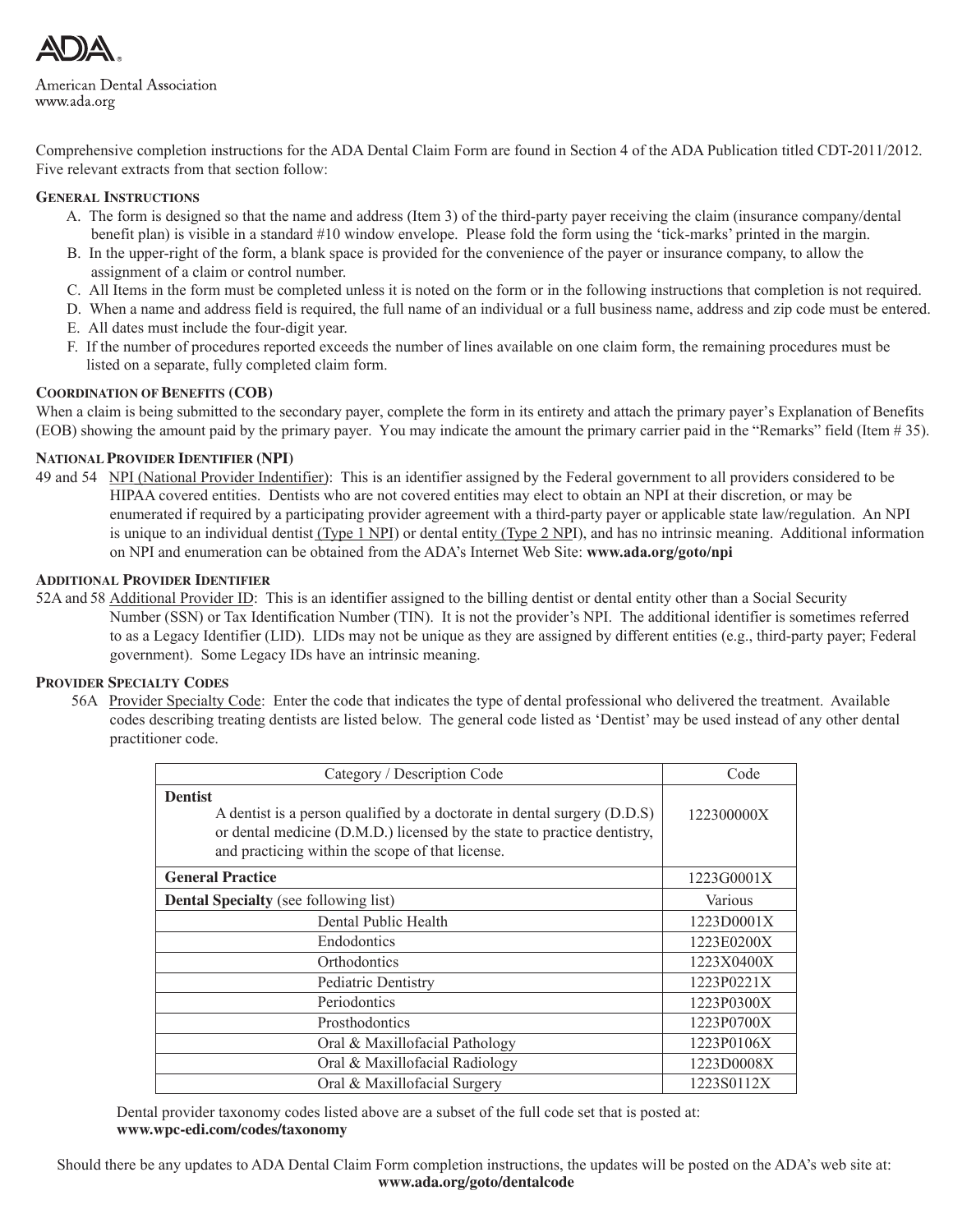

American Dental Association www.ada.org

Comprehensive completion instructions for the ADA Dental Claim Form are found in Section 4 of the ADA Publication titled CDT-2011/2012. Five relevant extracts from that section follow:

#### **GENERAL INSTRUCTIONS**

- A. The form is designed so that the name and address (Item 3) of the third-party payer receiving the claim (insurance company/dental benefit plan) is visible in a standard #10 window envelope. Please fold the form using the 'tick-marks' printed in the margin.
- B. In the upper-right of the form, a blank space is provided for the convenience of the payer or insurance company, to allow the assignment of a claim or control number.
- C. All Items in the form must be completed unless it is noted on the form or in the following instructions that completion is not required.
- D. When a name and address field is required, the full name of an individual or a full business name, address and zip code must be entered.
- E. All dates must include the four-digit year.
- F. If the number of procedures reported exceeds the number of lines available on one claim form, the remaining procedures must be listed on a separate, fully completed claim form.

### **COORDINATION OF BENEFITS (COB)**

When a claim is being submitted to the secondary payer, complete the form in its entirety and attach the primary payer's Explanation of Benefits (EOB) showing the amount paid by the primary payer. You may indicate the amount the primary carrier paid in the "Remarks" field (Item # 35).

## **NATIONAL PROVIDER IDENTIFIER (NPI)**

49 and 54 NPI (National Provider Indentifier): This is an identifier assigned by the Federal government to all providers considered to be HIPAA covered entities. Dentists who are not covered entities may elect to obtain an NPI at their discretion, or may be enumerated if required by a participating provider agreement with a third-party payer or applicable state law/regulation. An NPI is unique to an individual dentist (Type 1 NPI) or dental entity (Type 2 NPI), and has no intrinsic meaning. Additional information on NPI and enumeration can be obtained from the ADA's Internet Web Site: **www.ada.org/goto/npi**

#### **ADDITIONAL PROVIDER IDENTIFIER**

52A and 58 Additional Provider ID: This is an identifier assigned to the billing dentist or dental entity other than a Social Security Number (SSN) or Tax Identification Number (TIN). It is not the provider's NPI. The additional identifier is sometimes referred to as a Legacy Identifier (LID). LIDs may not be unique as they are assigned by different entities (e.g., third-party payer; Federal government). Some Legacy IDs have an intrinsic meaning.

#### **PROVIDER SPECIALTY CODES**

 56A Provider Specialty Code: Enter the code that indicates the type of dental professional who delivered the treatment. Available codes describing treating dentists are listed below. The general code listed as 'Dentist' may be used instead of any other dental practitioner code.

| Category / Description Code                                                                                                                                                                                                | Code       |  |  |
|----------------------------------------------------------------------------------------------------------------------------------------------------------------------------------------------------------------------------|------------|--|--|
| <b>Dentist</b><br>A dentist is a person qualified by a doctorate in dental surgery (D.D.S)<br>or dental medicine (D.M.D.) licensed by the state to practice dentistry,<br>and practicing within the scope of that license. | 122300000X |  |  |
| <b>General Practice</b>                                                                                                                                                                                                    | 1223G0001X |  |  |
| <b>Dental Specialty</b> (see following list)                                                                                                                                                                               | Various    |  |  |
| Dental Public Health                                                                                                                                                                                                       | 1223D0001X |  |  |
| <b>Endodontics</b>                                                                                                                                                                                                         | 1223E0200X |  |  |
| Orthodontics                                                                                                                                                                                                               | 1223X0400X |  |  |
| Pediatric Dentistry                                                                                                                                                                                                        | 1223P0221X |  |  |
| Periodontics                                                                                                                                                                                                               | 1223P0300X |  |  |
| Prosthodontics                                                                                                                                                                                                             | 1223P0700X |  |  |
| Oral & Maxillofacial Pathology                                                                                                                                                                                             | 1223P0106X |  |  |
| Oral & Maxillofacial Radiology                                                                                                                                                                                             | 1223D0008X |  |  |
| Oral & Maxillofacial Surgery                                                                                                                                                                                               | 1223S0112X |  |  |

Dental provider taxonomy codes listed above are a subset of the full code set that is posted at: **www.wpc-edi.com/codes/taxonomy**

Should there be any updates to ADA Dental Claim Form completion instructions, the updates will be posted on the ADA's web site at: **www.ada.org/goto/dentalcode**